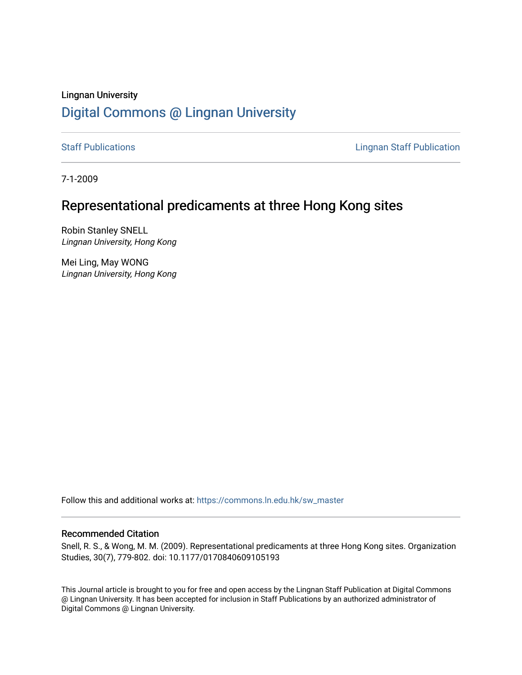# Lingnan University [Digital Commons @ Lingnan University](https://commons.ln.edu.hk/)

[Staff Publications](https://commons.ln.edu.hk/sw_master) **Staff Publications Lingnan Staff Publication** 

7-1-2009

# Representational predicaments at three Hong Kong sites

Robin Stanley SNELL Lingnan University, Hong Kong

Mei Ling, May WONG Lingnan University, Hong Kong

Follow this and additional works at: [https://commons.ln.edu.hk/sw\\_master](https://commons.ln.edu.hk/sw_master?utm_source=commons.ln.edu.hk%2Fsw_master%2F583&utm_medium=PDF&utm_campaign=PDFCoverPages) 

#### Recommended Citation

Snell, R. S., & Wong, M. M. (2009). Representational predicaments at three Hong Kong sites. Organization Studies, 30(7), 779-802. doi: 10.1177/0170840609105193

This Journal article is brought to you for free and open access by the Lingnan Staff Publication at Digital Commons @ Lingnan University. It has been accepted for inclusion in Staff Publications by an authorized administrator of Digital Commons @ Lingnan University.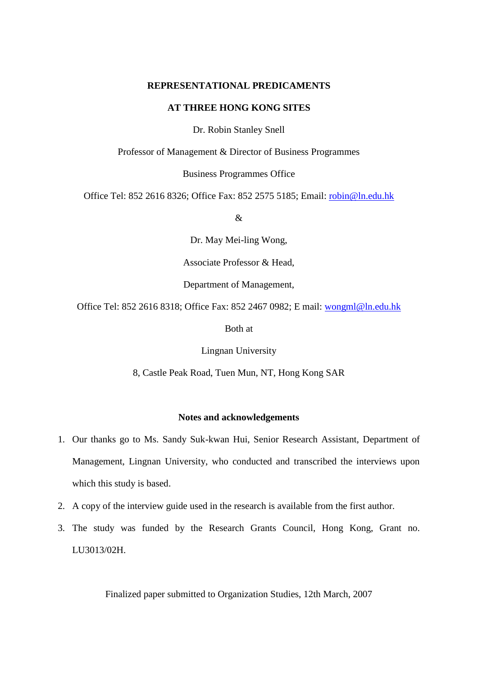## **REPRESENTATIONAL PREDICAMENTS**

# **AT THREE HONG KONG SITES**

Dr. Robin Stanley Snell

Professor of Management & Director of Business Programmes

Business Programmes Office

Office Tel: 852 2616 8326; Office Fax: 852 2575 5185; Email: [robin@ln.edu.hk](mailto:robin@ln.edu.hk)

&

Dr. May Mei-ling Wong,

Associate Professor & Head,

Department of Management,

Office Tel: 852 2616 8318; Office Fax: 852 2467 0982; E mail: [wongml@ln.edu.hk](mailto:wongml@ln.edu.hk)

Both at

Lingnan University

8, Castle Peak Road, Tuen Mun, NT, Hong Kong SAR

# **Notes and acknowledgements**

- 1. Our thanks go to Ms. Sandy Suk-kwan Hui, Senior Research Assistant, Department of Management, Lingnan University, who conducted and transcribed the interviews upon which this study is based.
- 2. A copy of the interview guide used in the research is available from the first author.
- 3. The study was funded by the Research Grants Council, Hong Kong, Grant no. LU3013/02H.

Finalized paper submitted to Organization Studies, 12th March, 2007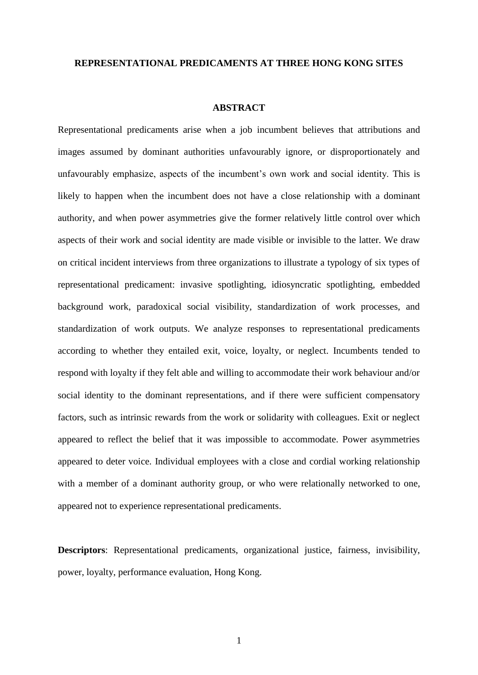#### **REPRESENTATIONAL PREDICAMENTS AT THREE HONG KONG SITES**

#### **ABSTRACT**

Representational predicaments arise when a job incumbent believes that attributions and images assumed by dominant authorities unfavourably ignore, or disproportionately and unfavourably emphasize, aspects of the incumbent's own work and social identity. This is likely to happen when the incumbent does not have a close relationship with a dominant authority, and when power asymmetries give the former relatively little control over which aspects of their work and social identity are made visible or invisible to the latter. We draw on critical incident interviews from three organizations to illustrate a typology of six types of representational predicament: invasive spotlighting, idiosyncratic spotlighting, embedded background work, paradoxical social visibility, standardization of work processes, and standardization of work outputs. We analyze responses to representational predicaments according to whether they entailed exit, voice, loyalty, or neglect. Incumbents tended to respond with loyalty if they felt able and willing to accommodate their work behaviour and/or social identity to the dominant representations, and if there were sufficient compensatory factors, such as intrinsic rewards from the work or solidarity with colleagues. Exit or neglect appeared to reflect the belief that it was impossible to accommodate. Power asymmetries appeared to deter voice. Individual employees with a close and cordial working relationship with a member of a dominant authority group, or who were relationally networked to one, appeared not to experience representational predicaments.

**Descriptors**: Representational predicaments, organizational justice, fairness, invisibility, power, loyalty, performance evaluation, Hong Kong.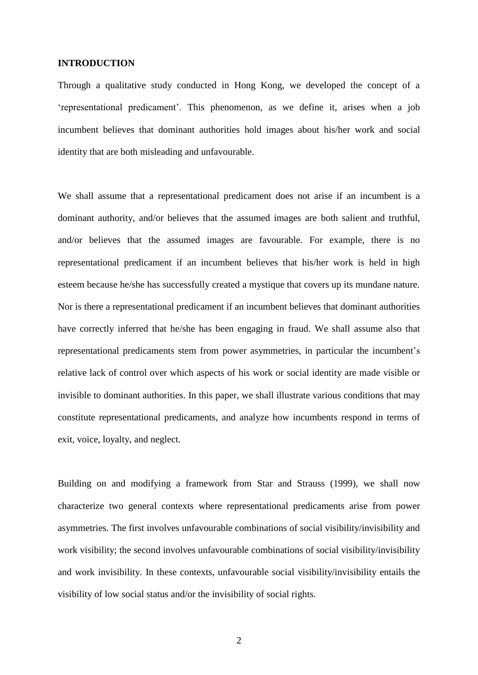#### **INTRODUCTION**

Through a qualitative study conducted in Hong Kong, we developed the concept of a 'representational predicament'. This phenomenon, as we define it, arises when a job incumbent believes that dominant authorities hold images about his/her work and social identity that are both misleading and unfavourable.

We shall assume that a representational predicament does not arise if an incumbent is a dominant authority, and/or believes that the assumed images are both salient and truthful, and/or believes that the assumed images are favourable. For example, there is no representational predicament if an incumbent believes that his/her work is held in high esteem because he/she has successfully created a mystique that covers up its mundane nature. Nor is there a representational predicament if an incumbent believes that dominant authorities have correctly inferred that he/she has been engaging in fraud. We shall assume also that representational predicaments stem from power asymmetries, in particular the incumbent's relative lack of control over which aspects of his work or social identity are made visible or invisible to dominant authorities. In this paper, we shall illustrate various conditions that may constitute representational predicaments, and analyze how incumbents respond in terms of exit, voice, loyalty, and neglect.

Building on and modifying a framework from Star and Strauss (1999), we shall now characterize two general contexts where representational predicaments arise from power asymmetries. The first involves unfavourable combinations of social visibility/invisibility and work visibility; the second involves unfavourable combinations of social visibility/invisibility and work invisibility. In these contexts, unfavourable social visibility/invisibility entails the visibility of low social status and/or the invisibility of social rights.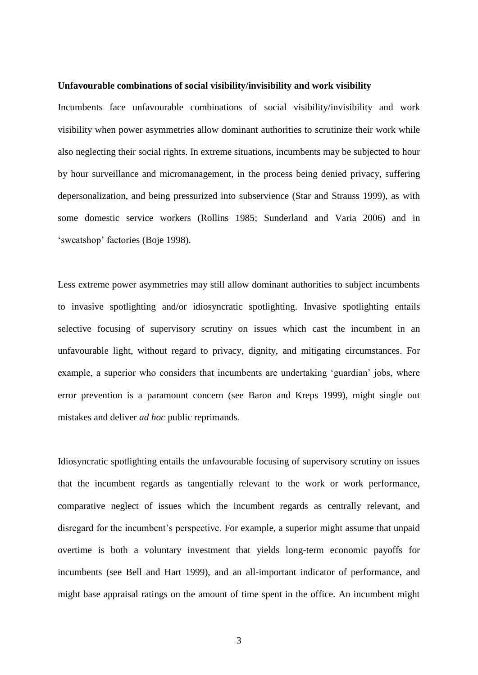#### **Unfavourable combinations of social visibility/invisibility and work visibility**

Incumbents face unfavourable combinations of social visibility/invisibility and work visibility when power asymmetries allow dominant authorities to scrutinize their work while also neglecting their social rights. In extreme situations, incumbents may be subjected to hour by hour surveillance and micromanagement, in the process being denied privacy, suffering depersonalization, and being pressurized into subservience (Star and Strauss 1999), as with some domestic service workers (Rollins 1985; Sunderland and Varia 2006) and in 'sweatshop' factories (Boje 1998).

Less extreme power asymmetries may still allow dominant authorities to subject incumbents to invasive spotlighting and/or idiosyncratic spotlighting. Invasive spotlighting entails selective focusing of supervisory scrutiny on issues which cast the incumbent in an unfavourable light, without regard to privacy, dignity, and mitigating circumstances. For example, a superior who considers that incumbents are undertaking 'guardian' jobs, where error prevention is a paramount concern (see Baron and Kreps 1999), might single out mistakes and deliver *ad hoc* public reprimands.

Idiosyncratic spotlighting entails the unfavourable focusing of supervisory scrutiny on issues that the incumbent regards as tangentially relevant to the work or work performance, comparative neglect of issues which the incumbent regards as centrally relevant, and disregard for the incumbent's perspective. For example, a superior might assume that unpaid overtime is both a voluntary investment that yields long-term economic payoffs for incumbents (see Bell and Hart 1999), and an all-important indicator of performance, and might base appraisal ratings on the amount of time spent in the office. An incumbent might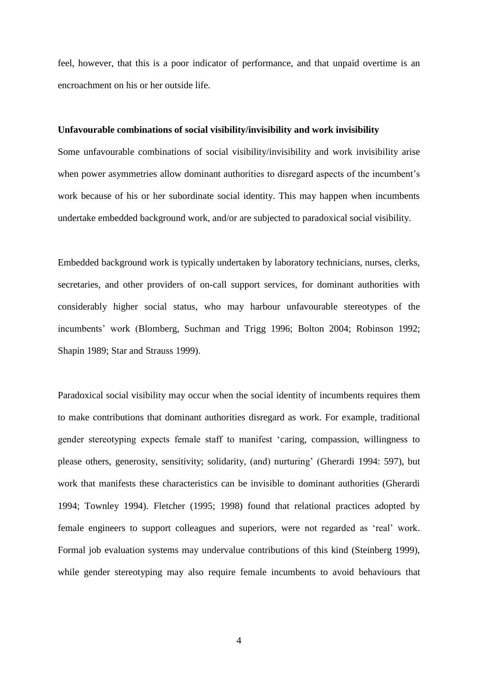feel, however, that this is a poor indicator of performance, and that unpaid overtime is an encroachment on his or her outside life.

#### **Unfavourable combinations of social visibility/invisibility and work invisibility**

Some unfavourable combinations of social visibility/invisibility and work invisibility arise when power asymmetries allow dominant authorities to disregard aspects of the incumbent's work because of his or her subordinate social identity. This may happen when incumbents undertake embedded background work, and/or are subjected to paradoxical social visibility.

Embedded background work is typically undertaken by laboratory technicians, nurses, clerks, secretaries, and other providers of on-call support services, for dominant authorities with considerably higher social status, who may harbour unfavourable stereotypes of the incumbents' work (Blomberg, Suchman and Trigg 1996; Bolton 2004; Robinson 1992; Shapin 1989; Star and Strauss 1999).

Paradoxical social visibility may occur when the social identity of incumbents requires them to make contributions that dominant authorities disregard as work. For example, traditional gender stereotyping expects female staff to manifest 'caring, compassion, willingness to please others, generosity, sensitivity; solidarity, (and) nurturing' (Gherardi 1994: 597), but work that manifests these characteristics can be invisible to dominant authorities (Gherardi 1994; Townley 1994). Fletcher (1995; 1998) found that relational practices adopted by female engineers to support colleagues and superiors, were not regarded as 'real' work. Formal job evaluation systems may undervalue contributions of this kind (Steinberg 1999), while gender stereotyping may also require female incumbents to avoid behaviours that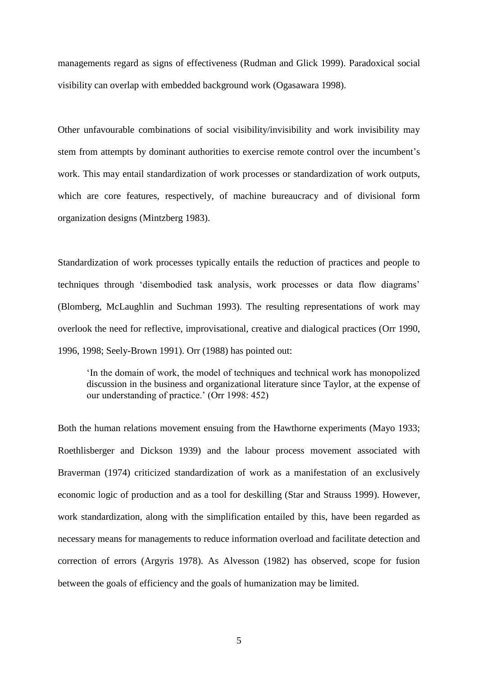managements regard as signs of effectiveness (Rudman and Glick 1999). Paradoxical social visibility can overlap with embedded background work (Ogasawara 1998).

Other unfavourable combinations of social visibility/invisibility and work invisibility may stem from attempts by dominant authorities to exercise remote control over the incumbent's work. This may entail standardization of work processes or standardization of work outputs, which are core features, respectively, of machine bureaucracy and of divisional form organization designs (Mintzberg 1983).

Standardization of work processes typically entails the reduction of practices and people to techniques through 'disembodied task analysis, work processes or data flow diagrams' (Blomberg, McLaughlin and Suchman 1993). The resulting representations of work may overlook the need for reflective, improvisational, creative and dialogical practices (Orr 1990, 1996, 1998; Seely-Brown 1991). Orr (1988) has pointed out:

'In the domain of work, the model of techniques and technical work has monopolized discussion in the business and organizational literature since Taylor, at the expense of our understanding of practice.' (Orr 1998: 452)

Both the human relations movement ensuing from the Hawthorne experiments (Mayo 1933; Roethlisberger and Dickson 1939) and the labour process movement associated with Braverman (1974) criticized standardization of work as a manifestation of an exclusively economic logic of production and as a tool for deskilling (Star and Strauss 1999). However, work standardization, along with the simplification entailed by this, have been regarded as necessary means for managements to reduce information overload and facilitate detection and correction of errors (Argyris 1978). As Alvesson (1982) has observed, scope for fusion between the goals of efficiency and the goals of humanization may be limited.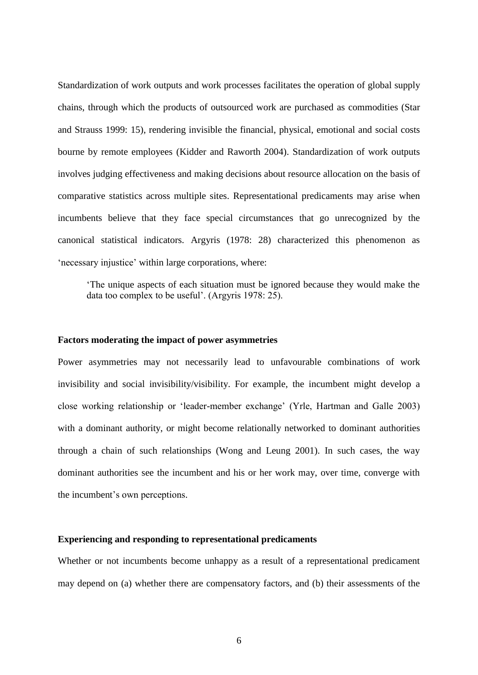Standardization of work outputs and work processes facilitates the operation of global supply chains, through which the products of outsourced work are purchased as commodities (Star and Strauss 1999: 15), rendering invisible the financial, physical, emotional and social costs bourne by remote employees (Kidder and Raworth 2004). Standardization of work outputs involves judging effectiveness and making decisions about resource allocation on the basis of comparative statistics across multiple sites. Representational predicaments may arise when incumbents believe that they face special circumstances that go unrecognized by the canonical statistical indicators. Argyris (1978: 28) characterized this phenomenon as 'necessary injustice' within large corporations, where:

'The unique aspects of each situation must be ignored because they would make the data too complex to be useful'. (Argyris 1978: 25).

## **Factors moderating the impact of power asymmetries**

Power asymmetries may not necessarily lead to unfavourable combinations of work invisibility and social invisibility/visibility. For example, the incumbent might develop a close working relationship or 'leader-member exchange' (Yrle, Hartman and Galle 2003) with a dominant authority, or might become relationally networked to dominant authorities through a chain of such relationships (Wong and Leung 2001). In such cases, the way dominant authorities see the incumbent and his or her work may, over time, converge with the incumbent's own perceptions.

#### **Experiencing and responding to representational predicaments**

Whether or not incumbents become unhappy as a result of a representational predicament may depend on (a) whether there are compensatory factors, and (b) their assessments of the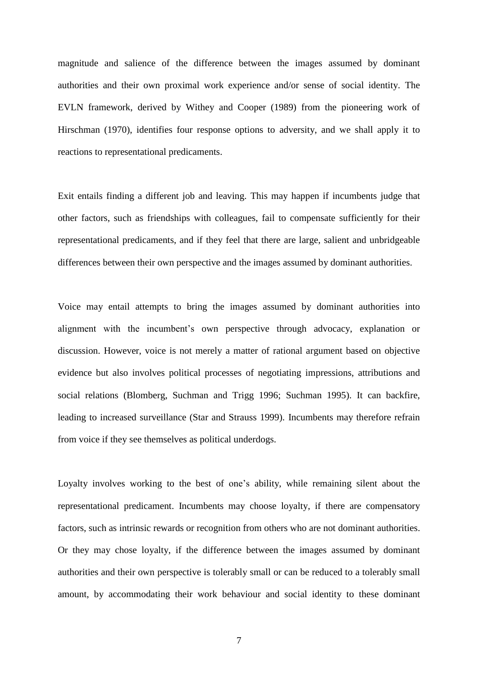magnitude and salience of the difference between the images assumed by dominant authorities and their own proximal work experience and/or sense of social identity. The EVLN framework, derived by Withey and Cooper (1989) from the pioneering work of Hirschman (1970), identifies four response options to adversity, and we shall apply it to reactions to representational predicaments.

Exit entails finding a different job and leaving. This may happen if incumbents judge that other factors, such as friendships with colleagues, fail to compensate sufficiently for their representational predicaments, and if they feel that there are large, salient and unbridgeable differences between their own perspective and the images assumed by dominant authorities.

Voice may entail attempts to bring the images assumed by dominant authorities into alignment with the incumbent's own perspective through advocacy, explanation or discussion. However, voice is not merely a matter of rational argument based on objective evidence but also involves political processes of negotiating impressions, attributions and social relations (Blomberg, Suchman and Trigg 1996; Suchman 1995). It can backfire, leading to increased surveillance (Star and Strauss 1999). Incumbents may therefore refrain from voice if they see themselves as political underdogs.

Loyalty involves working to the best of one's ability, while remaining silent about the representational predicament. Incumbents may choose loyalty, if there are compensatory factors, such as intrinsic rewards or recognition from others who are not dominant authorities. Or they may chose loyalty, if the difference between the images assumed by dominant authorities and their own perspective is tolerably small or can be reduced to a tolerably small amount, by accommodating their work behaviour and social identity to these dominant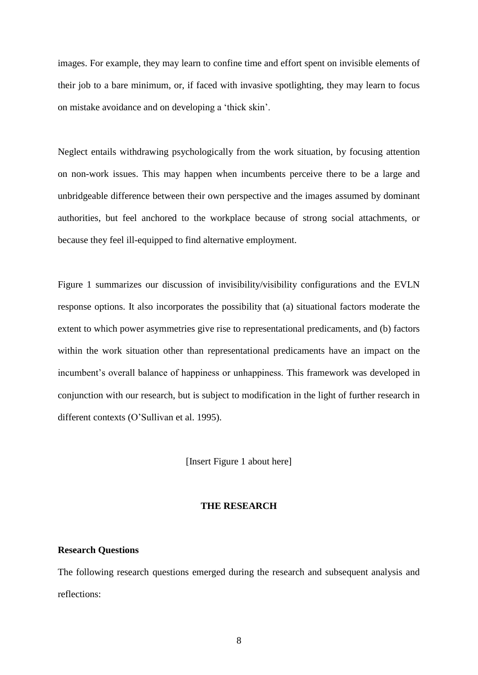images. For example, they may learn to confine time and effort spent on invisible elements of their job to a bare minimum, or, if faced with invasive spotlighting, they may learn to focus on mistake avoidance and on developing a 'thick skin'.

Neglect entails withdrawing psychologically from the work situation, by focusing attention on non-work issues. This may happen when incumbents perceive there to be a large and unbridgeable difference between their own perspective and the images assumed by dominant authorities, but feel anchored to the workplace because of strong social attachments, or because they feel ill-equipped to find alternative employment.

Figure 1 summarizes our discussion of invisibility/visibility configurations and the EVLN response options. It also incorporates the possibility that (a) situational factors moderate the extent to which power asymmetries give rise to representational predicaments, and (b) factors within the work situation other than representational predicaments have an impact on the incumbent's overall balance of happiness or unhappiness. This framework was developed in conjunction with our research, but is subject to modification in the light of further research in different contexts (O'Sullivan et al. 1995).

[Insert Figure 1 about here]

### **THE RESEARCH**

#### **Research Questions**

The following research questions emerged during the research and subsequent analysis and reflections: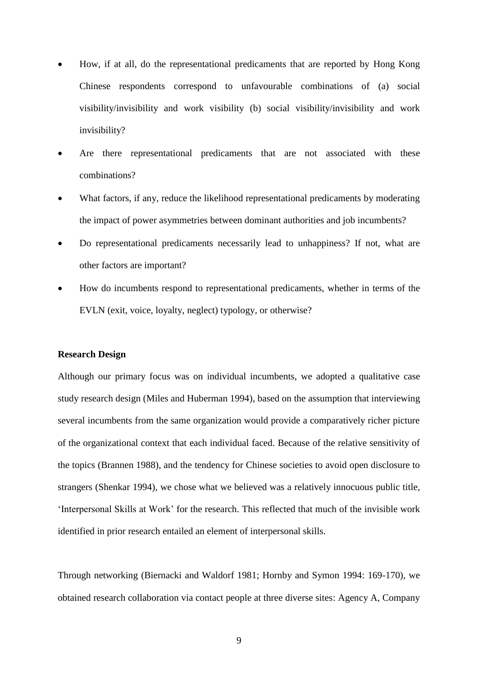- How, if at all, do the representational predicaments that are reported by Hong Kong Chinese respondents correspond to unfavourable combinations of (a) social visibility/invisibility and work visibility (b) social visibility/invisibility and work invisibility?
- Are there representational predicaments that are not associated with these combinations?
- What factors, if any, reduce the likelihood representational predicaments by moderating the impact of power asymmetries between dominant authorities and job incumbents?
- Do representational predicaments necessarily lead to unhappiness? If not, what are other factors are important?
- How do incumbents respond to representational predicaments, whether in terms of the EVLN (exit, voice, loyalty, neglect) typology, or otherwise?

## **Research Design**

Although our primary focus was on individual incumbents, we adopted a qualitative case study research design (Miles and Huberman 1994), based on the assumption that interviewing several incumbents from the same organization would provide a comparatively richer picture of the organizational context that each individual faced. Because of the relative sensitivity of the topics (Brannen 1988), and the tendency for Chinese societies to avoid open disclosure to strangers (Shenkar 1994), we chose what we believed was a relatively innocuous public title, 'Interpersonal Skills at Work' for the research. This reflected that much of the invisible work identified in prior research entailed an element of interpersonal skills.

Through networking (Biernacki and Waldorf 1981; Hornby and Symon 1994: 169-170), we obtained research collaboration via contact people at three diverse sites: Agency A, Company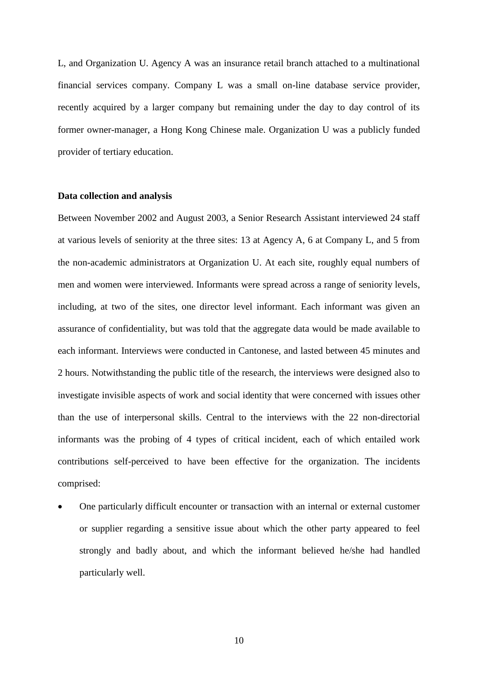L, and Organization U. Agency A was an insurance retail branch attached to a multinational financial services company. Company L was a small on-line database service provider, recently acquired by a larger company but remaining under the day to day control of its former owner-manager, a Hong Kong Chinese male. Organization U was a publicly funded provider of tertiary education.

## **Data collection and analysis**

Between November 2002 and August 2003, a Senior Research Assistant interviewed 24 staff at various levels of seniority at the three sites: 13 at Agency A, 6 at Company L, and 5 from the non-academic administrators at Organization U. At each site, roughly equal numbers of men and women were interviewed. Informants were spread across a range of seniority levels, including, at two of the sites, one director level informant. Each informant was given an assurance of confidentiality, but was told that the aggregate data would be made available to each informant. Interviews were conducted in Cantonese, and lasted between 45 minutes and 2 hours. Notwithstanding the public title of the research, the interviews were designed also to investigate invisible aspects of work and social identity that were concerned with issues other than the use of interpersonal skills. Central to the interviews with the 22 non-directorial informants was the probing of 4 types of critical incident, each of which entailed work contributions self-perceived to have been effective for the organization. The incidents comprised:

 One particularly difficult encounter or transaction with an internal or external customer or supplier regarding a sensitive issue about which the other party appeared to feel strongly and badly about, and which the informant believed he/she had handled particularly well.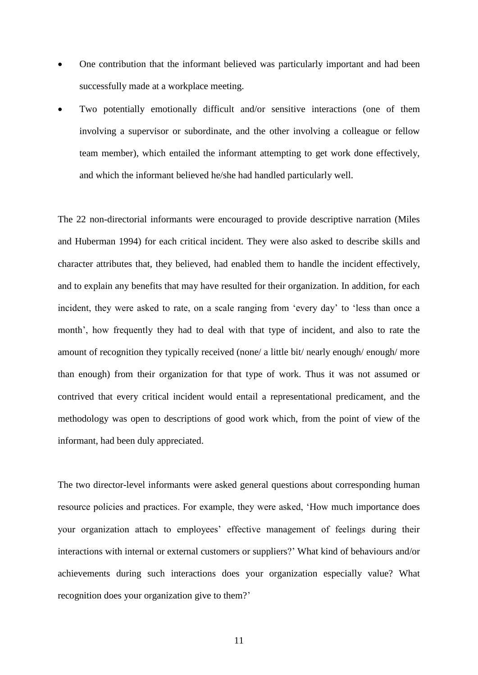- One contribution that the informant believed was particularly important and had been successfully made at a workplace meeting.
- Two potentially emotionally difficult and/or sensitive interactions (one of them involving a supervisor or subordinate, and the other involving a colleague or fellow team member), which entailed the informant attempting to get work done effectively, and which the informant believed he/she had handled particularly well.

The 22 non-directorial informants were encouraged to provide descriptive narration (Miles and Huberman 1994) for each critical incident. They were also asked to describe skills and character attributes that, they believed, had enabled them to handle the incident effectively, and to explain any benefits that may have resulted for their organization. In addition, for each incident, they were asked to rate, on a scale ranging from 'every day' to 'less than once a month', how frequently they had to deal with that type of incident, and also to rate the amount of recognition they typically received (none/ a little bit/ nearly enough/ enough/ more than enough) from their organization for that type of work. Thus it was not assumed or contrived that every critical incident would entail a representational predicament, and the methodology was open to descriptions of good work which, from the point of view of the informant, had been duly appreciated.

The two director-level informants were asked general questions about corresponding human resource policies and practices. For example, they were asked, 'How much importance does your organization attach to employees' effective management of feelings during their interactions with internal or external customers or suppliers?' What kind of behaviours and/or achievements during such interactions does your organization especially value? What recognition does your organization give to them?'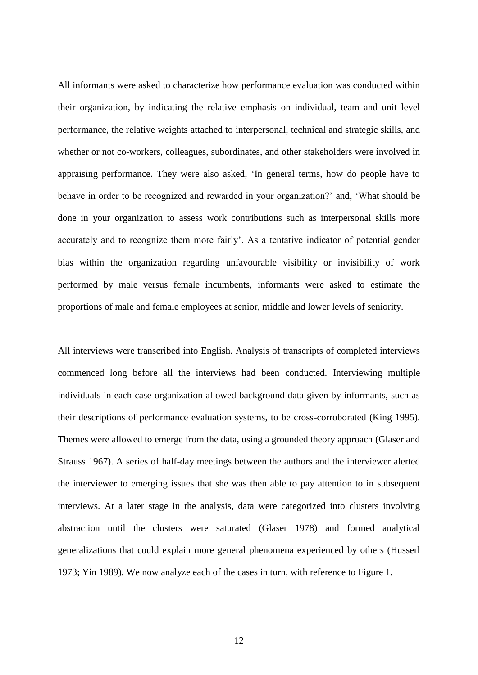All informants were asked to characterize how performance evaluation was conducted within their organization, by indicating the relative emphasis on individual, team and unit level performance, the relative weights attached to interpersonal, technical and strategic skills, and whether or not co-workers, colleagues, subordinates, and other stakeholders were involved in appraising performance. They were also asked, 'In general terms, how do people have to behave in order to be recognized and rewarded in your organization?' and, 'What should be done in your organization to assess work contributions such as interpersonal skills more accurately and to recognize them more fairly'. As a tentative indicator of potential gender bias within the organization regarding unfavourable visibility or invisibility of work performed by male versus female incumbents, informants were asked to estimate the proportions of male and female employees at senior, middle and lower levels of seniority.

All interviews were transcribed into English. Analysis of transcripts of completed interviews commenced long before all the interviews had been conducted. Interviewing multiple individuals in each case organization allowed background data given by informants, such as their descriptions of performance evaluation systems, to be cross-corroborated (King 1995). Themes were allowed to emerge from the data, using a grounded theory approach (Glaser and Strauss 1967). A series of half-day meetings between the authors and the interviewer alerted the interviewer to emerging issues that she was then able to pay attention to in subsequent interviews. At a later stage in the analysis, data were categorized into clusters involving abstraction until the clusters were saturated (Glaser 1978) and formed analytical generalizations that could explain more general phenomena experienced by others (Husserl 1973; Yin 1989). We now analyze each of the cases in turn, with reference to Figure 1.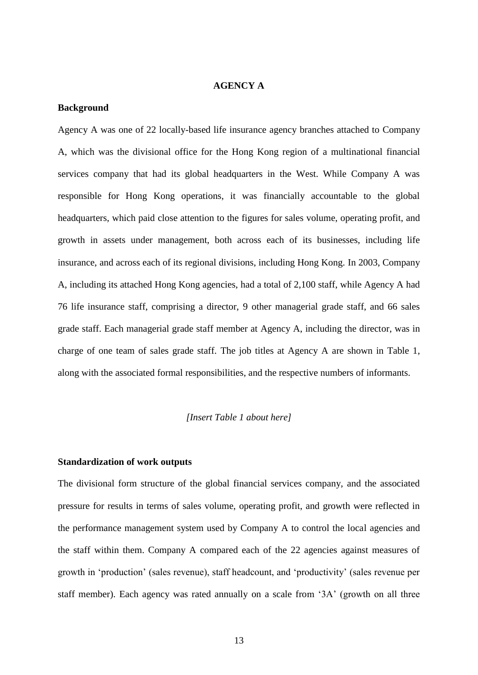## **AGENCY A**

#### **Background**

Agency A was one of 22 locally-based life insurance agency branches attached to Company A, which was the divisional office for the Hong Kong region of a multinational financial services company that had its global headquarters in the West. While Company A was responsible for Hong Kong operations, it was financially accountable to the global headquarters, which paid close attention to the figures for sales volume, operating profit, and growth in assets under management, both across each of its businesses, including life insurance, and across each of its regional divisions, including Hong Kong. In 2003, Company A, including its attached Hong Kong agencies, had a total of 2,100 staff, while Agency A had 76 life insurance staff, comprising a director, 9 other managerial grade staff, and 66 sales grade staff. Each managerial grade staff member at Agency A, including the director, was in charge of one team of sales grade staff. The job titles at Agency A are shown in Table 1, along with the associated formal responsibilities, and the respective numbers of informants.

## *[Insert Table 1 about here]*

#### **Standardization of work outputs**

The divisional form structure of the global financial services company, and the associated pressure for results in terms of sales volume, operating profit, and growth were reflected in the performance management system used by Company A to control the local agencies and the staff within them. Company A compared each of the 22 agencies against measures of growth in 'production' (sales revenue), staff headcount, and 'productivity' (sales revenue per staff member). Each agency was rated annually on a scale from '3A' (growth on all three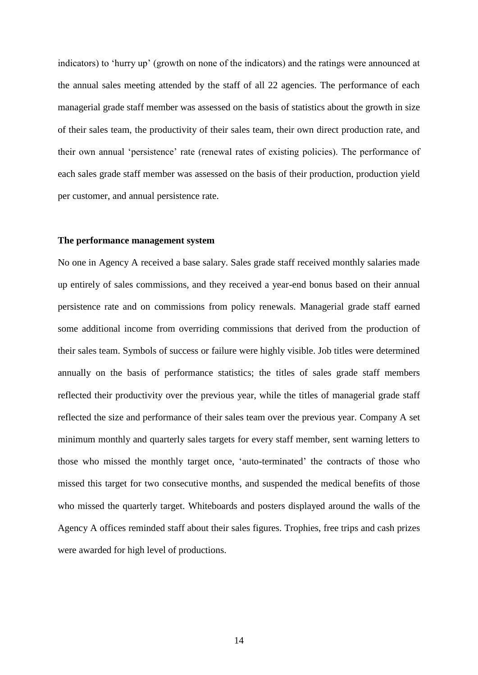indicators) to 'hurry up' (growth on none of the indicators) and the ratings were announced at the annual sales meeting attended by the staff of all 22 agencies. The performance of each managerial grade staff member was assessed on the basis of statistics about the growth in size of their sales team, the productivity of their sales team, their own direct production rate, and their own annual 'persistence' rate (renewal rates of existing policies). The performance of each sales grade staff member was assessed on the basis of their production, production yield per customer, and annual persistence rate.

## **The performance management system**

No one in Agency A received a base salary. Sales grade staff received monthly salaries made up entirely of sales commissions, and they received a year-end bonus based on their annual persistence rate and on commissions from policy renewals. Managerial grade staff earned some additional income from overriding commissions that derived from the production of their sales team. Symbols of success or failure were highly visible. Job titles were determined annually on the basis of performance statistics; the titles of sales grade staff members reflected their productivity over the previous year, while the titles of managerial grade staff reflected the size and performance of their sales team over the previous year. Company A set minimum monthly and quarterly sales targets for every staff member, sent warning letters to those who missed the monthly target once, 'auto-terminated' the contracts of those who missed this target for two consecutive months, and suspended the medical benefits of those who missed the quarterly target. Whiteboards and posters displayed around the walls of the Agency A offices reminded staff about their sales figures. Trophies, free trips and cash prizes were awarded for high level of productions.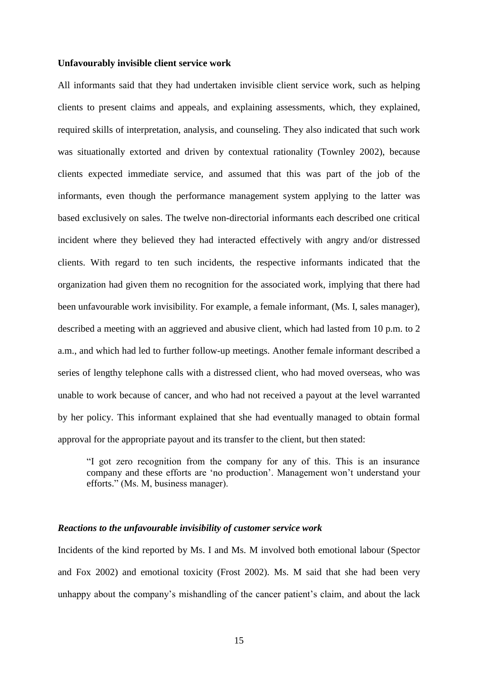#### **Unfavourably invisible client service work**

All informants said that they had undertaken invisible client service work, such as helping clients to present claims and appeals, and explaining assessments, which, they explained, required skills of interpretation, analysis, and counseling. They also indicated that such work was situationally extorted and driven by contextual rationality (Townley 2002), because clients expected immediate service, and assumed that this was part of the job of the informants, even though the performance management system applying to the latter was based exclusively on sales. The twelve non-directorial informants each described one critical incident where they believed they had interacted effectively with angry and/or distressed clients. With regard to ten such incidents, the respective informants indicated that the organization had given them no recognition for the associated work, implying that there had been unfavourable work invisibility. For example, a female informant, (Ms. I, sales manager), described a meeting with an aggrieved and abusive client, which had lasted from 10 p.m. to 2 a.m., and which had led to further follow-up meetings. Another female informant described a series of lengthy telephone calls with a distressed client, who had moved overseas, who was unable to work because of cancer, and who had not received a payout at the level warranted by her policy. This informant explained that she had eventually managed to obtain formal approval for the appropriate payout and its transfer to the client, but then stated:

"I got zero recognition from the company for any of this. This is an insurance company and these efforts are 'no production'. Management won't understand your efforts." (Ms. M, business manager).

#### *Reactions to the unfavourable invisibility of customer service work*

Incidents of the kind reported by Ms. I and Ms. M involved both emotional labour (Spector and Fox 2002) and emotional toxicity (Frost 2002). Ms. M said that she had been very unhappy about the company's mishandling of the cancer patient's claim, and about the lack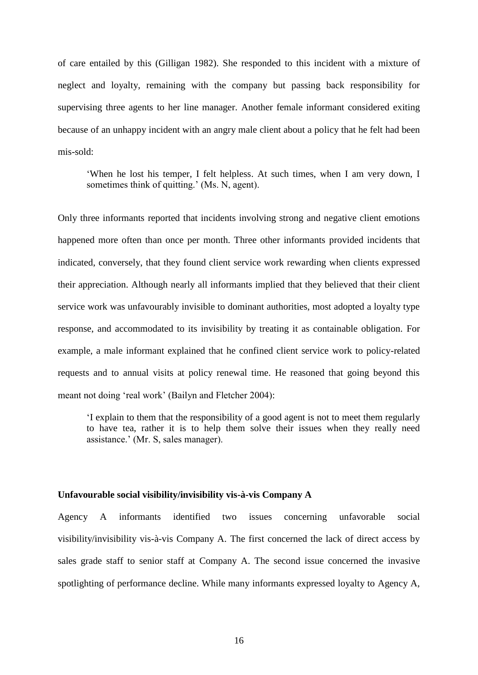of care entailed by this (Gilligan 1982). She responded to this incident with a mixture of neglect and loyalty, remaining with the company but passing back responsibility for supervising three agents to her line manager. Another female informant considered exiting because of an unhappy incident with an angry male client about a policy that he felt had been mis-sold:

'When he lost his temper, I felt helpless. At such times, when I am very down, I sometimes think of quitting.' (Ms. N, agent).

Only three informants reported that incidents involving strong and negative client emotions happened more often than once per month. Three other informants provided incidents that indicated, conversely, that they found client service work rewarding when clients expressed their appreciation. Although nearly all informants implied that they believed that their client service work was unfavourably invisible to dominant authorities, most adopted a loyalty type response, and accommodated to its invisibility by treating it as containable obligation. For example, a male informant explained that he confined client service work to policy-related requests and to annual visits at policy renewal time. He reasoned that going beyond this meant not doing 'real work' (Bailyn and Fletcher 2004):

'I explain to them that the responsibility of a good agent is not to meet them regularly to have tea, rather it is to help them solve their issues when they really need assistance.' (Mr. S, sales manager).

# **Unfavourable social visibility/invisibility vis-à-vis Company A**

Agency A informants identified two issues concerning unfavorable social visibility/invisibility vis-à-vis Company A. The first concerned the lack of direct access by sales grade staff to senior staff at Company A. The second issue concerned the invasive spotlighting of performance decline. While many informants expressed loyalty to Agency A,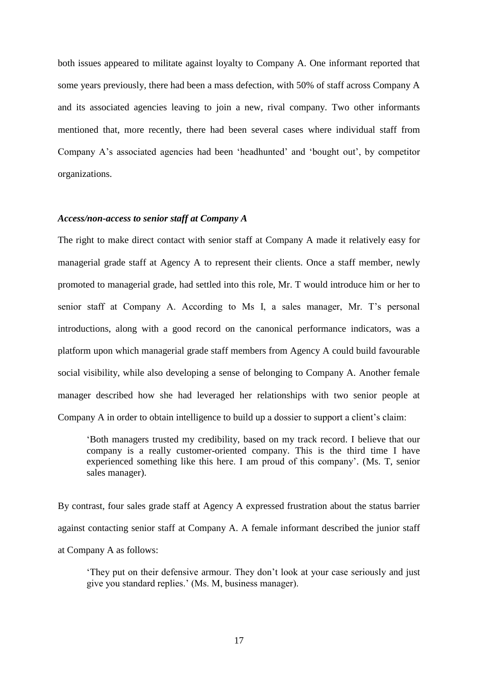both issues appeared to militate against loyalty to Company A. One informant reported that some years previously, there had been a mass defection, with 50% of staff across Company A and its associated agencies leaving to join a new, rival company. Two other informants mentioned that, more recently, there had been several cases where individual staff from Company A's associated agencies had been 'headhunted' and 'bought out', by competitor organizations.

## *Access/non-access to senior staff at Company A*

The right to make direct contact with senior staff at Company A made it relatively easy for managerial grade staff at Agency A to represent their clients. Once a staff member, newly promoted to managerial grade, had settled into this role, Mr. T would introduce him or her to senior staff at Company A. According to Ms I, a sales manager, Mr. T's personal introductions, along with a good record on the canonical performance indicators, was a platform upon which managerial grade staff members from Agency A could build favourable social visibility, while also developing a sense of belonging to Company A. Another female manager described how she had leveraged her relationships with two senior people at Company A in order to obtain intelligence to build up a dossier to support a client's claim:

'Both managers trusted my credibility, based on my track record. I believe that our company is a really customer-oriented company. This is the third time I have experienced something like this here. I am proud of this company'. (Ms. T, senior sales manager).

By contrast, four sales grade staff at Agency A expressed frustration about the status barrier against contacting senior staff at Company A. A female informant described the junior staff at Company A as follows:

'They put on their defensive armour. They don't look at your case seriously and just give you standard replies.' (Ms. M, business manager).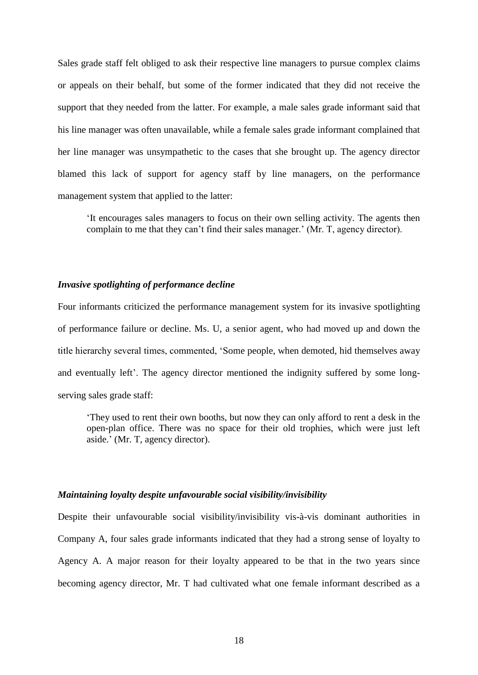Sales grade staff felt obliged to ask their respective line managers to pursue complex claims or appeals on their behalf, but some of the former indicated that they did not receive the support that they needed from the latter. For example, a male sales grade informant said that his line manager was often unavailable, while a female sales grade informant complained that her line manager was unsympathetic to the cases that she brought up. The agency director blamed this lack of support for agency staff by line managers, on the performance management system that applied to the latter:

'It encourages sales managers to focus on their own selling activity. The agents then complain to me that they can't find their sales manager.' (Mr. T, agency director).

# *Invasive spotlighting of performance decline*

Four informants criticized the performance management system for its invasive spotlighting of performance failure or decline. Ms. U, a senior agent, who had moved up and down the title hierarchy several times, commented, 'Some people, when demoted, hid themselves away and eventually left'. The agency director mentioned the indignity suffered by some longserving sales grade staff:

'They used to rent their own booths, but now they can only afford to rent a desk in the open-plan office. There was no space for their old trophies, which were just left aside.' (Mr. T, agency director).

#### *Maintaining loyalty despite unfavourable social visibility/invisibility*

Despite their unfavourable social visibility/invisibility vis-à-vis dominant authorities in Company A, four sales grade informants indicated that they had a strong sense of loyalty to Agency A. A major reason for their loyalty appeared to be that in the two years since becoming agency director, Mr. T had cultivated what one female informant described as a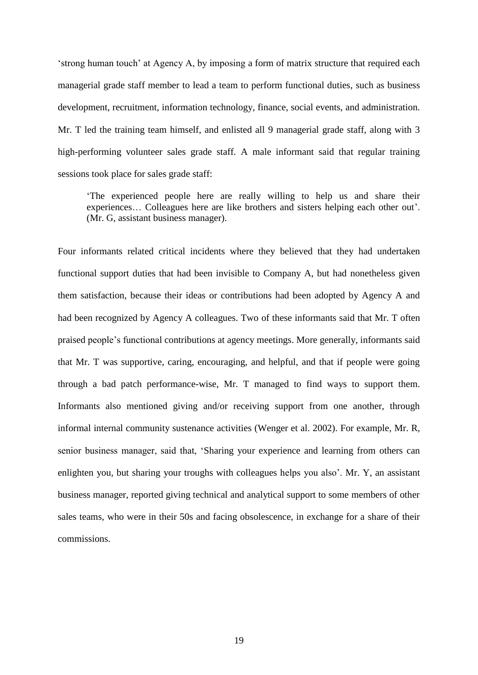'strong human touch' at Agency A, by imposing a form of matrix structure that required each managerial grade staff member to lead a team to perform functional duties, such as business development, recruitment, information technology, finance, social events, and administration. Mr. T led the training team himself, and enlisted all 9 managerial grade staff, along with 3 high-performing volunteer sales grade staff. A male informant said that regular training sessions took place for sales grade staff:

'The experienced people here are really willing to help us and share their experiences… Colleagues here are like brothers and sisters helping each other out'. (Mr. G, assistant business manager).

Four informants related critical incidents where they believed that they had undertaken functional support duties that had been invisible to Company A, but had nonetheless given them satisfaction, because their ideas or contributions had been adopted by Agency A and had been recognized by Agency A colleagues. Two of these informants said that Mr. T often praised people's functional contributions at agency meetings. More generally, informants said that Mr. T was supportive, caring, encouraging, and helpful, and that if people were going through a bad patch performance-wise, Mr. T managed to find ways to support them. Informants also mentioned giving and/or receiving support from one another, through informal internal community sustenance activities (Wenger et al. 2002). For example, Mr. R, senior business manager, said that, 'Sharing your experience and learning from others can enlighten you, but sharing your troughs with colleagues helps you also'. Mr. Y, an assistant business manager, reported giving technical and analytical support to some members of other sales teams, who were in their 50s and facing obsolescence, in exchange for a share of their commissions.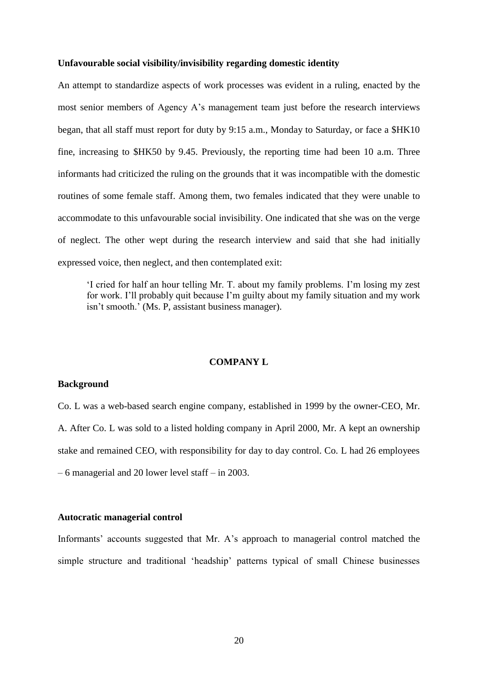#### **Unfavourable social visibility/invisibility regarding domestic identity**

An attempt to standardize aspects of work processes was evident in a ruling, enacted by the most senior members of Agency A's management team just before the research interviews began, that all staff must report for duty by 9:15 a.m., Monday to Saturday, or face a \$HK10 fine, increasing to \$HK50 by 9.45. Previously, the reporting time had been 10 a.m. Three informants had criticized the ruling on the grounds that it was incompatible with the domestic routines of some female staff. Among them, two females indicated that they were unable to accommodate to this unfavourable social invisibility. One indicated that she was on the verge of neglect. The other wept during the research interview and said that she had initially expressed voice, then neglect, and then contemplated exit:

'I cried for half an hour telling Mr. T. about my family problems. I'm losing my zest for work. I'll probably quit because I'm guilty about my family situation and my work isn't smooth.' (Ms. P, assistant business manager).

#### **COMPANY L**

## **Background**

Co. L was a web-based search engine company, established in 1999 by the owner-CEO, Mr. A. After Co. L was sold to a listed holding company in April 2000, Mr. A kept an ownership stake and remained CEO, with responsibility for day to day control. Co. L had 26 employees – 6 managerial and 20 lower level staff – in 2003.

#### **Autocratic managerial control**

Informants' accounts suggested that Mr. A's approach to managerial control matched the simple structure and traditional 'headship' patterns typical of small Chinese businesses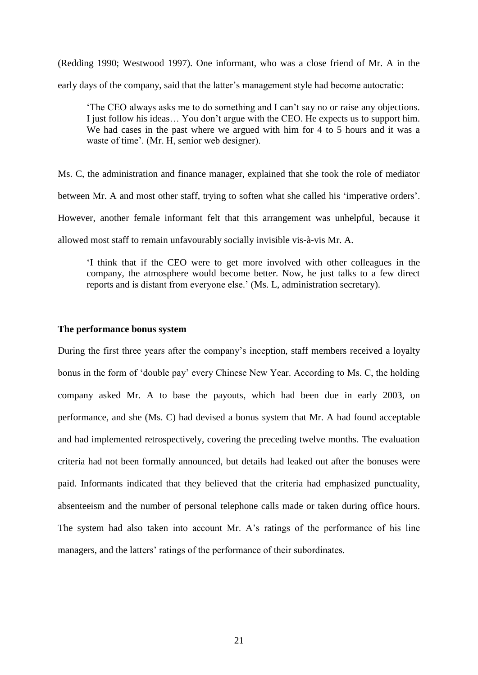(Redding 1990; Westwood 1997). One informant, who was a close friend of Mr. A in the early days of the company, said that the latter's management style had become autocratic:

'The CEO always asks me to do something and I can't say no or raise any objections. I just follow his ideas… You don't argue with the CEO. He expects us to support him. We had cases in the past where we argued with him for 4 to 5 hours and it was a waste of time'. (Mr. H, senior web designer).

Ms. C, the administration and finance manager, explained that she took the role of mediator between Mr. A and most other staff, trying to soften what she called his 'imperative orders'. However, another female informant felt that this arrangement was unhelpful, because it allowed most staff to remain unfavourably socially invisible vis-à-vis Mr. A.

'I think that if the CEO were to get more involved with other colleagues in the company, the atmosphere would become better. Now, he just talks to a few direct reports and is distant from everyone else.' (Ms. L, administration secretary).

# **The performance bonus system**

During the first three years after the company's inception, staff members received a loyalty bonus in the form of 'double pay' every Chinese New Year. According to Ms. C, the holding company asked Mr. A to base the payouts, which had been due in early 2003, on performance, and she (Ms. C) had devised a bonus system that Mr. A had found acceptable and had implemented retrospectively, covering the preceding twelve months. The evaluation criteria had not been formally announced, but details had leaked out after the bonuses were paid. Informants indicated that they believed that the criteria had emphasized punctuality, absenteeism and the number of personal telephone calls made or taken during office hours. The system had also taken into account Mr. A's ratings of the performance of his line managers, and the latters' ratings of the performance of their subordinates.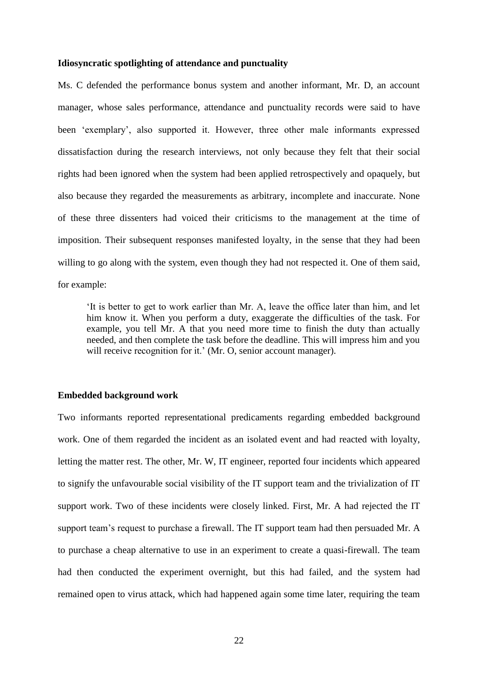#### **Idiosyncratic spotlighting of attendance and punctuality**

Ms. C defended the performance bonus system and another informant, Mr. D, an account manager, whose sales performance, attendance and punctuality records were said to have been 'exemplary', also supported it. However, three other male informants expressed dissatisfaction during the research interviews, not only because they felt that their social rights had been ignored when the system had been applied retrospectively and opaquely, but also because they regarded the measurements as arbitrary, incomplete and inaccurate. None of these three dissenters had voiced their criticisms to the management at the time of imposition. Their subsequent responses manifested loyalty, in the sense that they had been willing to go along with the system, even though they had not respected it. One of them said, for example:

'It is better to get to work earlier than Mr. A, leave the office later than him, and let him know it. When you perform a duty, exaggerate the difficulties of the task. For example, you tell Mr. A that you need more time to finish the duty than actually needed, and then complete the task before the deadline. This will impress him and you will receive recognition for it.' (Mr. O, senior account manager).

#### **Embedded background work**

Two informants reported representational predicaments regarding embedded background work. One of them regarded the incident as an isolated event and had reacted with loyalty, letting the matter rest. The other, Mr. W, IT engineer, reported four incidents which appeared to signify the unfavourable social visibility of the IT support team and the trivialization of IT support work. Two of these incidents were closely linked. First, Mr. A had rejected the IT support team's request to purchase a firewall. The IT support team had then persuaded Mr. A to purchase a cheap alternative to use in an experiment to create a quasi-firewall. The team had then conducted the experiment overnight, but this had failed, and the system had remained open to virus attack, which had happened again some time later, requiring the team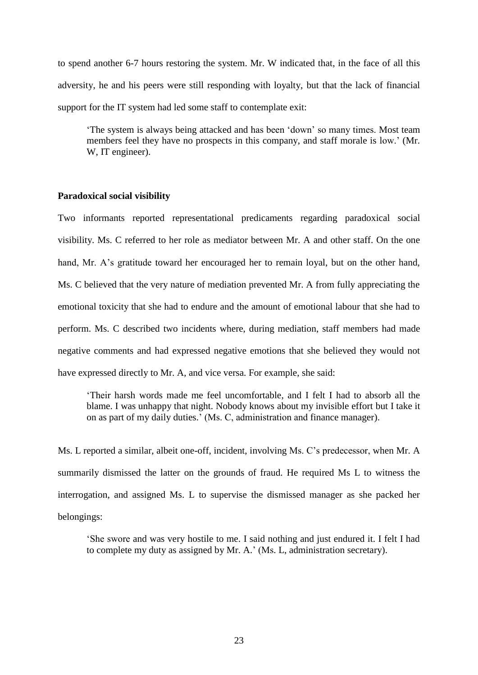to spend another 6-7 hours restoring the system. Mr. W indicated that, in the face of all this adversity, he and his peers were still responding with loyalty, but that the lack of financial support for the IT system had led some staff to contemplate exit:

'The system is always being attacked and has been 'down' so many times. Most team members feel they have no prospects in this company, and staff morale is low.' (Mr. W, IT engineer).

## **Paradoxical social visibility**

Two informants reported representational predicaments regarding paradoxical social visibility. Ms. C referred to her role as mediator between Mr. A and other staff. On the one hand, Mr. A's gratitude toward her encouraged her to remain loyal, but on the other hand, Ms. C believed that the very nature of mediation prevented Mr. A from fully appreciating the emotional toxicity that she had to endure and the amount of emotional labour that she had to perform. Ms. C described two incidents where, during mediation, staff members had made negative comments and had expressed negative emotions that she believed they would not have expressed directly to Mr. A, and vice versa. For example, she said:

'Their harsh words made me feel uncomfortable, and I felt I had to absorb all the blame. I was unhappy that night. Nobody knows about my invisible effort but I take it on as part of my daily duties.' (Ms. C, administration and finance manager).

Ms. L reported a similar, albeit one-off, incident, involving Ms. C's predecessor, when Mr. A summarily dismissed the latter on the grounds of fraud. He required Ms L to witness the interrogation, and assigned Ms. L to supervise the dismissed manager as she packed her belongings:

'She swore and was very hostile to me. I said nothing and just endured it. I felt I had to complete my duty as assigned by Mr. A.' (Ms. L, administration secretary).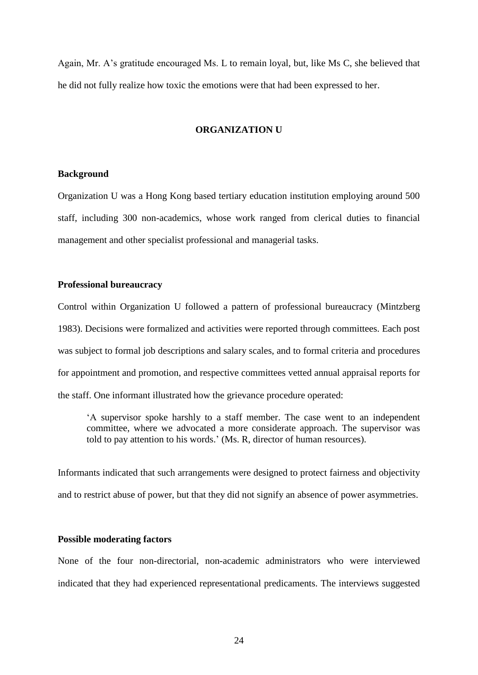Again, Mr. A's gratitude encouraged Ms. L to remain loyal, but, like Ms C, she believed that he did not fully realize how toxic the emotions were that had been expressed to her.

## **ORGANIZATION U**

## **Background**

Organization U was a Hong Kong based tertiary education institution employing around 500 staff, including 300 non-academics, whose work ranged from clerical duties to financial management and other specialist professional and managerial tasks.

# **Professional bureaucracy**

Control within Organization U followed a pattern of professional bureaucracy (Mintzberg 1983). Decisions were formalized and activities were reported through committees. Each post was subject to formal job descriptions and salary scales, and to formal criteria and procedures for appointment and promotion, and respective committees vetted annual appraisal reports for the staff. One informant illustrated how the grievance procedure operated:

'A supervisor spoke harshly to a staff member. The case went to an independent committee, where we advocated a more considerate approach. The supervisor was told to pay attention to his words.' (Ms. R, director of human resources).

Informants indicated that such arrangements were designed to protect fairness and objectivity and to restrict abuse of power, but that they did not signify an absence of power asymmetries.

#### **Possible moderating factors**

None of the four non-directorial, non-academic administrators who were interviewed indicated that they had experienced representational predicaments. The interviews suggested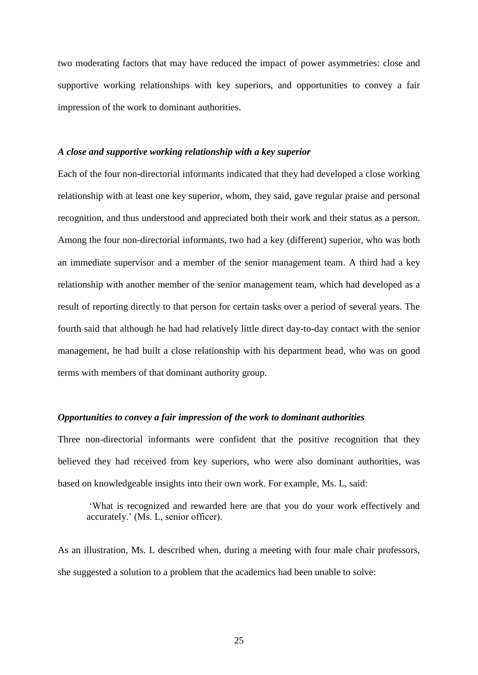two moderating factors that may have reduced the impact of power asymmetries: close and supportive working relationships with key superiors, and opportunities to convey a fair impression of the work to dominant authorities.

#### *A close and supportive working relationship with a key superior*

Each of the four non-directorial informants indicated that they had developed a close working relationship with at least one key superior, whom, they said, gave regular praise and personal recognition, and thus understood and appreciated both their work and their status as a person. Among the four non-directorial informants, two had a key (different) superior, who was both an immediate supervisor and a member of the senior management team. A third had a key relationship with another member of the senior management team, which had developed as a result of reporting directly to that person for certain tasks over a period of several years. The fourth said that although he had had relatively little direct day-to-day contact with the senior management, he had built a close relationship with his department head, who was on good terms with members of that dominant authority group.

# *Opportunities to convey a fair impression of the work to dominant authorities*

Three non-directorial informants were confident that the positive recognition that they believed they had received from key superiors, who were also dominant authorities, was based on knowledgeable insights into their own work. For example, Ms. L, said:

'What is recognized and rewarded here are that you do your work effectively and accurately.' (Ms. L, senior officer).

As an illustration, Ms. L described when, during a meeting with four male chair professors, she suggested a solution to a problem that the academics had been unable to solve: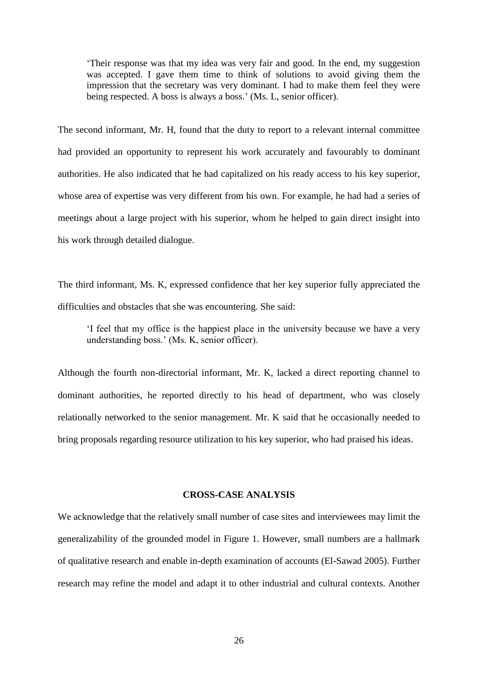'Their response was that my idea was very fair and good. In the end, my suggestion was accepted. I gave them time to think of solutions to avoid giving them the impression that the secretary was very dominant. I had to make them feel they were being respected. A boss is always a boss.' (Ms. L, senior officer).

The second informant, Mr. H, found that the duty to report to a relevant internal committee had provided an opportunity to represent his work accurately and favourably to dominant authorities. He also indicated that he had capitalized on his ready access to his key superior, whose area of expertise was very different from his own. For example, he had had a series of meetings about a large project with his superior, whom he helped to gain direct insight into his work through detailed dialogue.

The third informant, Ms. K, expressed confidence that her key superior fully appreciated the difficulties and obstacles that she was encountering. She said:

'I feel that my office is the happiest place in the university because we have a very understanding boss.' (Ms. K, senior officer).

Although the fourth non-directorial informant, Mr. K, lacked a direct reporting channel to dominant authorities, he reported directly to his head of department, who was closely relationally networked to the senior management. Mr. K said that he occasionally needed to bring proposals regarding resource utilization to his key superior, who had praised his ideas.

# **CROSS-CASE ANALYSIS**

We acknowledge that the relatively small number of case sites and interviewees may limit the generalizability of the grounded model in Figure 1. However, small numbers are a hallmark of qualitative research and enable in-depth examination of accounts (El-Sawad 2005). Further research may refine the model and adapt it to other industrial and cultural contexts. Another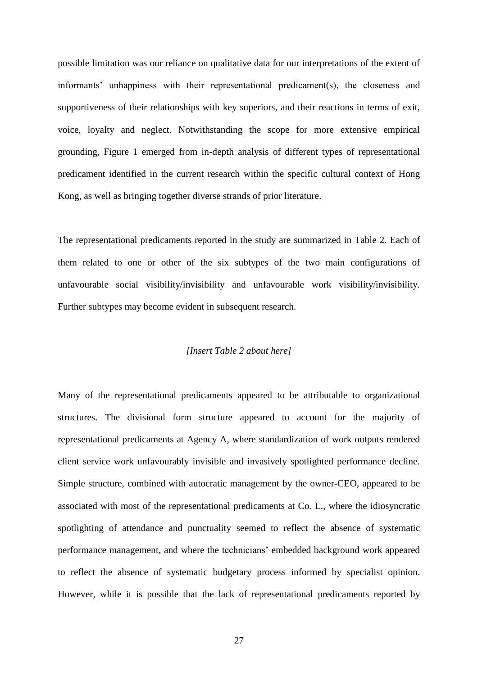possible limitation was our reliance on qualitative data for our interpretations of the extent of informants' unhappiness with their representational predicament(s), the closeness and supportiveness of their relationships with key superiors, and their reactions in terms of exit, voice, loyalty and neglect. Notwithstanding the scope for more extensive empirical grounding, Figure 1 emerged from in-depth analysis of different types of representational predicament identified in the current research within the specific cultural context of Hong Kong, as well as bringing together diverse strands of prior literature.

The representational predicaments reported in the study are summarized in Table 2. Each of them related to one or other of the six subtypes of the two main configurations of unfavourable social visibility/invisibility and unfavourable work visibility/invisibility. Further subtypes may become evident in subsequent research.

## *[Insert Table 2 about here]*

Many of the representational predicaments appeared to be attributable to organizational structures. The divisional form structure appeared to account for the majority of representational predicaments at Agency A, where standardization of work outputs rendered client service work unfavourably invisible and invasively spotlighted performance decline. Simple structure, combined with autocratic management by the owner-CEO, appeared to be associated with most of the representational predicaments at Co. L., where the idiosyncratic spotlighting of attendance and punctuality seemed to reflect the absence of systematic performance management, and where the technicians' embedded background work appeared to reflect the absence of systematic budgetary process informed by specialist opinion. However, while it is possible that the lack of representational predicaments reported by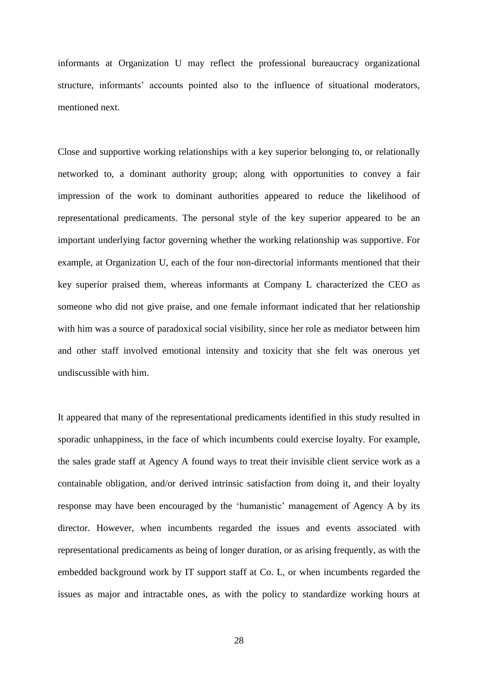informants at Organization U may reflect the professional bureaucracy organizational structure, informants' accounts pointed also to the influence of situational moderators, mentioned next.

Close and supportive working relationships with a key superior belonging to, or relationally networked to, a dominant authority group; along with opportunities to convey a fair impression of the work to dominant authorities appeared to reduce the likelihood of representational predicaments. The personal style of the key superior appeared to be an important underlying factor governing whether the working relationship was supportive. For example, at Organization U, each of the four non-directorial informants mentioned that their key superior praised them, whereas informants at Company L characterized the CEO as someone who did not give praise, and one female informant indicated that her relationship with him was a source of paradoxical social visibility, since her role as mediator between him and other staff involved emotional intensity and toxicity that she felt was onerous yet undiscussible with him.

It appeared that many of the representational predicaments identified in this study resulted in sporadic unhappiness, in the face of which incumbents could exercise loyalty. For example, the sales grade staff at Agency A found ways to treat their invisible client service work as a containable obligation, and/or derived intrinsic satisfaction from doing it, and their loyalty response may have been encouraged by the 'humanistic' management of Agency A by its director. However, when incumbents regarded the issues and events associated with representational predicaments as being of longer duration, or as arising frequently, as with the embedded background work by IT support staff at Co. L, or when incumbents regarded the issues as major and intractable ones, as with the policy to standardize working hours at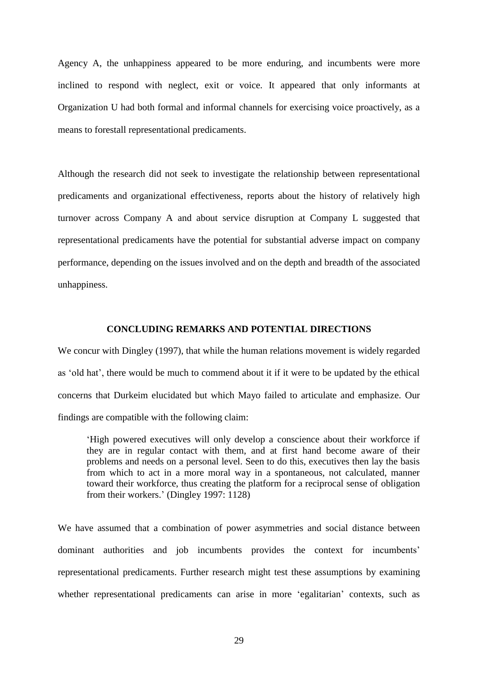Agency A, the unhappiness appeared to be more enduring, and incumbents were more inclined to respond with neglect, exit or voice. It appeared that only informants at Organization U had both formal and informal channels for exercising voice proactively, as a means to forestall representational predicaments.

Although the research did not seek to investigate the relationship between representational predicaments and organizational effectiveness, reports about the history of relatively high turnover across Company A and about service disruption at Company L suggested that representational predicaments have the potential for substantial adverse impact on company performance, depending on the issues involved and on the depth and breadth of the associated unhappiness.

## **CONCLUDING REMARKS AND POTENTIAL DIRECTIONS**

We concur with Dingley (1997), that while the human relations movement is widely regarded as 'old hat', there would be much to commend about it if it were to be updated by the ethical concerns that Durkeim elucidated but which Mayo failed to articulate and emphasize. Our findings are compatible with the following claim:

'High powered executives will only develop a conscience about their workforce if they are in regular contact with them, and at first hand become aware of their problems and needs on a personal level. Seen to do this, executives then lay the basis from which to act in a more moral way in a spontaneous, not calculated, manner toward their workforce, thus creating the platform for a reciprocal sense of obligation from their workers.' (Dingley 1997: 1128)

We have assumed that a combination of power asymmetries and social distance between dominant authorities and job incumbents provides the context for incumbents' representational predicaments. Further research might test these assumptions by examining whether representational predicaments can arise in more 'egalitarian' contexts, such as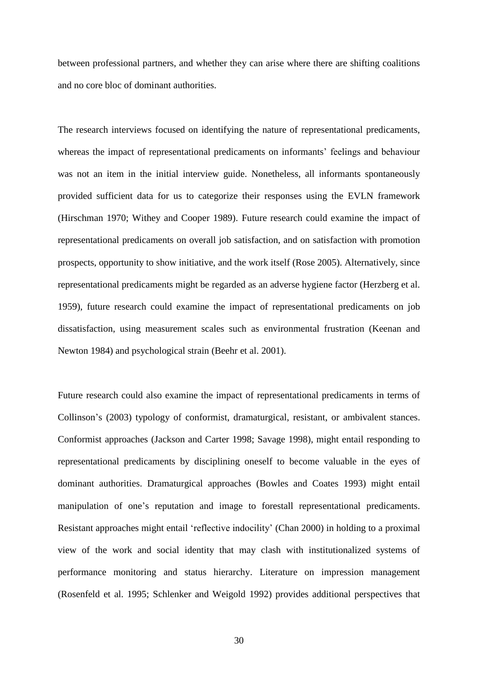between professional partners, and whether they can arise where there are shifting coalitions and no core bloc of dominant authorities.

The research interviews focused on identifying the nature of representational predicaments, whereas the impact of representational predicaments on informants' feelings and behaviour was not an item in the initial interview guide. Nonetheless, all informants spontaneously provided sufficient data for us to categorize their responses using the EVLN framework (Hirschman 1970; Withey and Cooper 1989). Future research could examine the impact of representational predicaments on overall job satisfaction, and on satisfaction with promotion prospects, opportunity to show initiative, and the work itself (Rose 2005). Alternatively, since representational predicaments might be regarded as an adverse hygiene factor (Herzberg et al. 1959), future research could examine the impact of representational predicaments on job dissatisfaction, using measurement scales such as environmental frustration (Keenan and Newton 1984) and psychological strain (Beehr et al. 2001).

Future research could also examine the impact of representational predicaments in terms of Collinson's (2003) typology of conformist, dramaturgical, resistant, or ambivalent stances. Conformist approaches (Jackson and Carter 1998; Savage 1998), might entail responding to representational predicaments by disciplining oneself to become valuable in the eyes of dominant authorities. Dramaturgical approaches (Bowles and Coates 1993) might entail manipulation of one's reputation and image to forestall representational predicaments. Resistant approaches might entail 'reflective indocility' (Chan 2000) in holding to a proximal view of the work and social identity that may clash with institutionalized systems of performance monitoring and status hierarchy. Literature on impression management (Rosenfeld et al. 1995; Schlenker and Weigold 1992) provides additional perspectives that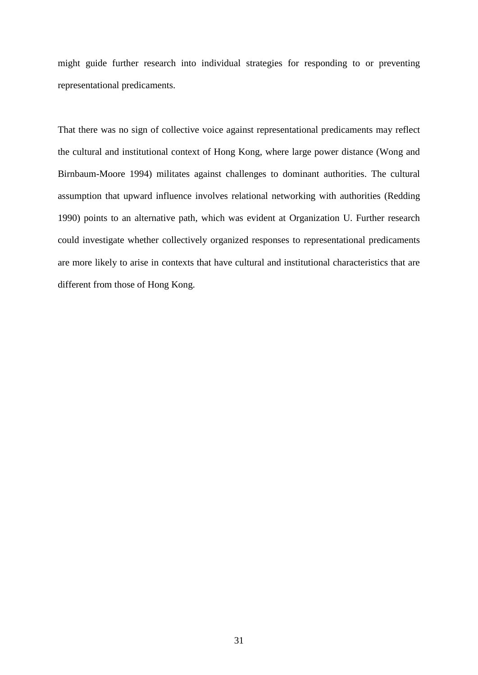might guide further research into individual strategies for responding to or preventing representational predicaments.

That there was no sign of collective voice against representational predicaments may reflect the cultural and institutional context of Hong Kong, where large power distance (Wong and Birnbaum-Moore 1994) militates against challenges to dominant authorities. The cultural assumption that upward influence involves relational networking with authorities (Redding 1990) points to an alternative path, which was evident at Organization U. Further research could investigate whether collectively organized responses to representational predicaments are more likely to arise in contexts that have cultural and institutional characteristics that are different from those of Hong Kong.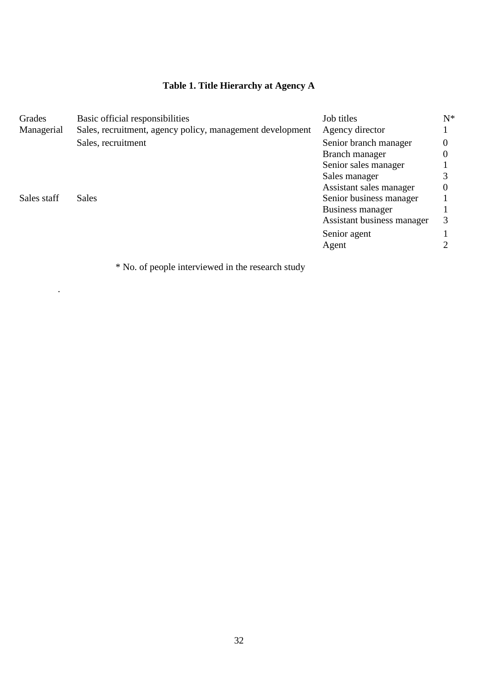# **Table 1. Title Hierarchy at Agency A**

| Basic official responsibilities                           | Job titles                 | $N^*$ |
|-----------------------------------------------------------|----------------------------|-------|
| Sales, recruitment, agency policy, management development | Agency director            |       |
| Sales, recruitment                                        | Senior branch manager      |       |
|                                                           | Branch manager             |       |
|                                                           | Senior sales manager       |       |
|                                                           | Sales manager              |       |
|                                                           | Assistant sales manager    |       |
| Sales                                                     | Senior business manager    |       |
|                                                           | Business manager           |       |
|                                                           | Assistant business manager |       |
|                                                           | Senior agent               |       |
|                                                           | Agent                      |       |
|                                                           |                            |       |

\* No. of people interviewed in the research study

.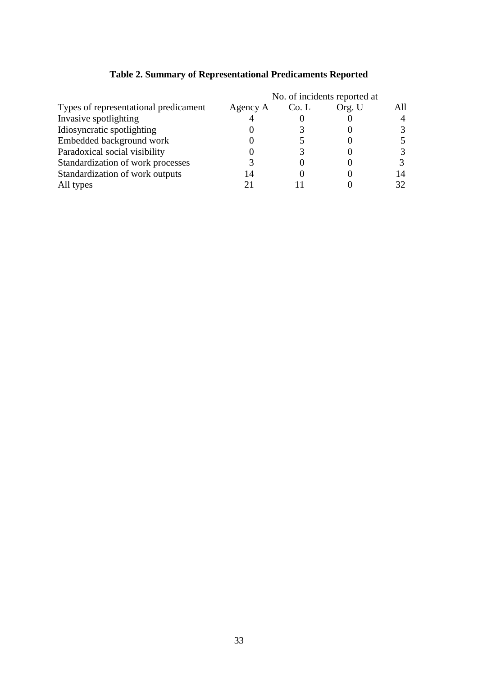| Types of representational predicament | No. of incidents reported at |       |        |     |
|---------------------------------------|------------------------------|-------|--------|-----|
|                                       | Agency A                     | Co. L | Org. U | All |
| Invasive spotlighting                 |                              |       |        |     |
| Idiosyncratic spotlighting            |                              |       |        |     |
| Embedded background work              |                              |       |        |     |
| Paradoxical social visibility         |                              |       |        |     |
| Standardization of work processes     |                              |       |        |     |
| Standardization of work outputs       | 14                           |       |        | 14  |
| All types                             | 21                           |       |        |     |

# **Table 2. Summary of Representational Predicaments Reported**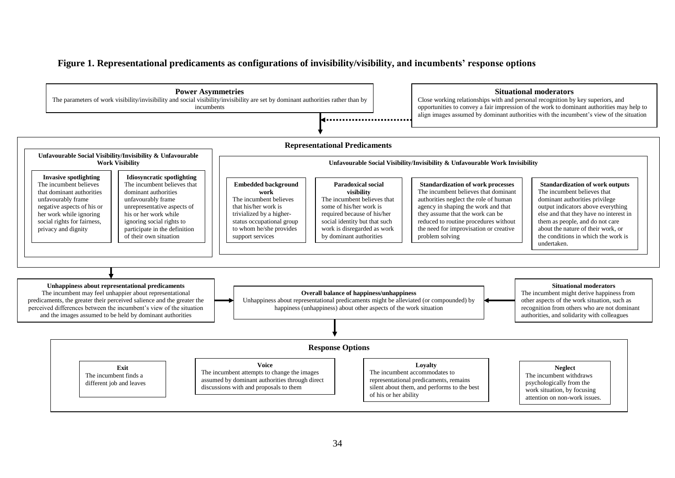# **Figure 1. Representational predicaments as configurations of invisibility/visibility, and incumbents' response options**

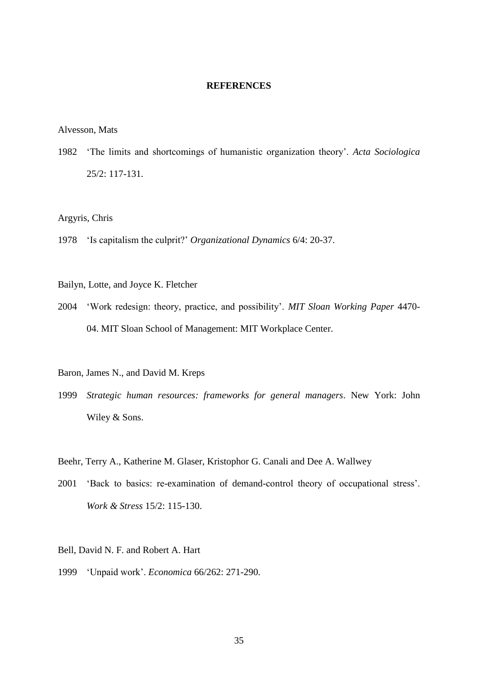#### **REFERENCES**

Alvesson, Mats

1982 'The limits and shortcomings of humanistic organization theory'. *Acta Sociologica* 25/2: 117-131.

Argyris, Chris

1978 'Is capitalism the culprit?' *Organizational Dynamics* 6/4: 20-37.

Bailyn, Lotte, and Joyce K. Fletcher

2004 'Work redesign: theory, practice, and possibility'. *MIT Sloan Working Paper* 4470- 04. MIT Sloan School of Management: MIT Workplace Center.

Baron, James N., and David M. Kreps

- 1999 *Strategic human resources: frameworks for general managers*. New York: John Wiley & Sons.
- Beehr, Terry A., Katherine M. Glaser, Kristophor G. Canali and Dee A. Wallwey
- 2001 'Back to basics: re-examination of demand-control theory of occupational stress'. *Work & Stress* 15/2: 115-130.
- Bell, David N. F. and Robert A. Hart
- 1999 'Unpaid work'. *Economica* 66/262: 271-290.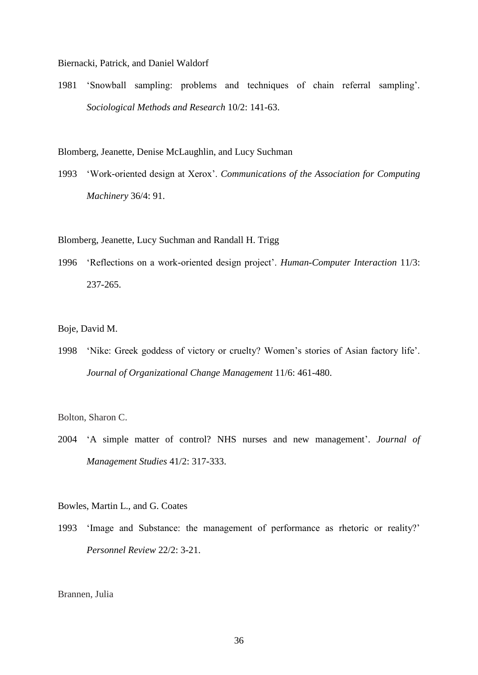Biernacki, Patrick, and Daniel Waldorf

1981 'Snowball sampling: problems and techniques of chain referral sampling'. *Sociological Methods and Research* 10/2: 141-63.

Blomberg, Jeanette, Denise McLaughlin, and Lucy Suchman

1993 'Work-oriented design at Xerox'. *Communications of the Association for Computing Machinery* 36/4: 91.

Blomberg, Jeanette, Lucy Suchman and Randall H. Trigg

1996 'Reflections on a work-oriented design project'. *Human-Computer Interaction* 11/3: 237-265.

Boje, David M.

1998 'Nike: Greek goddess of victory or cruelty? Women's stories of Asian factory life'. *Journal of Organizational Change Management* 11/6: 461-480.

Bolton, Sharon C.

2004 'A simple matter of control? NHS nurses and new management'. *Journal of Management Studies* 41/2: 317-333.

Bowles, Martin L., and G. Coates

1993 'Image and Substance: the management of performance as rhetoric or reality?' *Personnel Review* 22/2: 3-21.

Brannen, Julia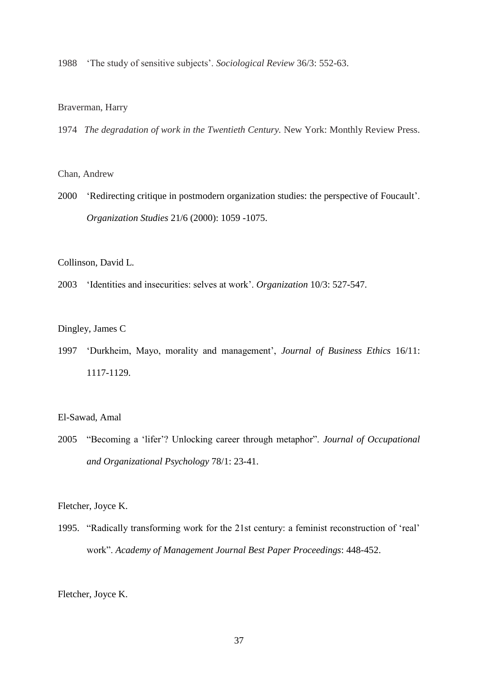1988 'The study of sensitive subjects'. *Sociological Review* 36/3: 552-63.

## Braverman, Harry

1974 *The degradation of work in the Twentieth Century.* New York: Monthly Review Press.

Chan, Andrew

2000 'Redirecting critique in postmodern organization studies: the perspective of Foucault'. *Organization Studies* 21/6 (2000): 1059 -1075.

Collinson, David L.

2003 'Identities and insecurities: selves at work'. *Organization* 10/3: 527-547.

Dingley, James C

1997 'Durkheim, Mayo, morality and management', *Journal of Business Ethics* 16/11: 1117-1129.

El-Sawad, Amal

2005 "Becoming a 'lifer'? Unlocking career through metaphor". *Journal of Occupational and Organizational Psychology* 78/1: 23-41.

Fletcher, Joyce K.

1995. "Radically transforming work for the 21st century: a feminist reconstruction of 'real' work". *Academy of Management Journal Best Paper Proceedings*: 448-452.

Fletcher, Joyce K.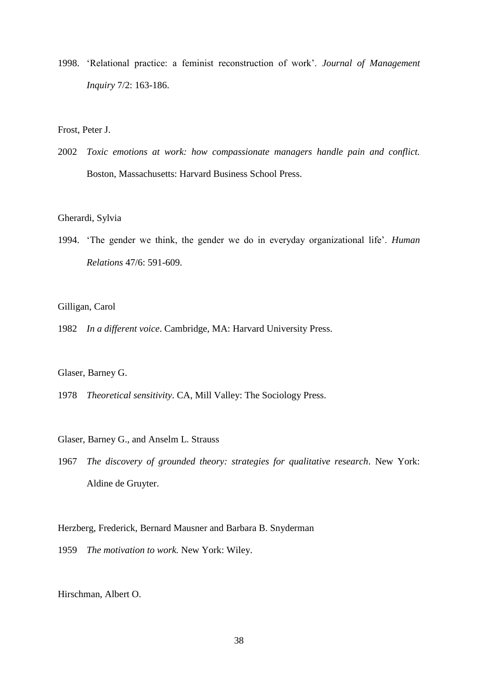1998. 'Relational practice: a feminist reconstruction of work'. *Journal of Management Inquiry* 7/2: 163-186.

Frost, Peter J.

2002 *Toxic emotions at work: how compassionate managers handle pain and conflict.*  Boston, Massachusetts: Harvard Business School Press.

## Gherardi, Sylvia

1994. 'The gender we think, the gender we do in everyday organizational life'. *Human Relations* 47/6: 591-609.

#### Gilligan, Carol

1982 *In a different voice*. Cambridge, MA: Harvard University Press.

## Glaser, Barney G.

- 1978 *Theoretical sensitivity*. CA, Mill Valley: The Sociology Press.
- Glaser, Barney G., and Anselm L. Strauss
- 1967 *The discovery of grounded theory: strategies for qualitative research*. New York: Aldine de Gruyter.

Herzberg, Frederick, Bernard Mausner and Barbara B. Snyderman

1959 *The motivation to work.* New York: Wiley.

Hirschman, Albert O.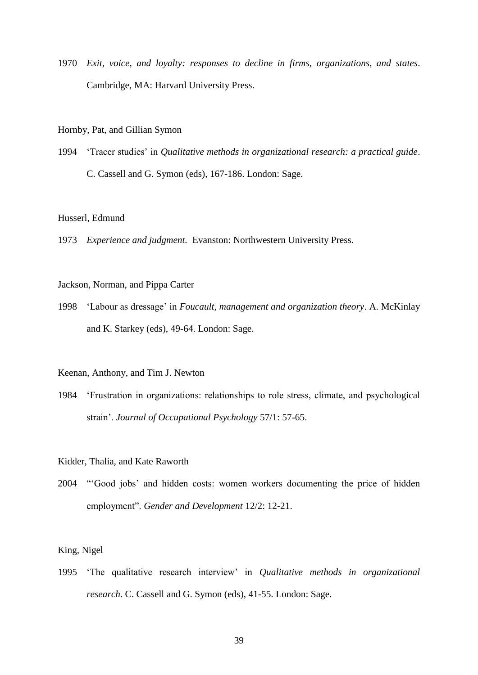1970 *Exit, voice, and loyalty: responses to decline in firms, organizations, and states*. Cambridge, MA: Harvard University Press.

Hornby, Pat, and Gillian Symon

1994 'Tracer studies' in *Qualitative methods in organizational research: a practical guide*. C. Cassell and G. Symon (eds), 167-186. London: Sage.

## Husserl, Edmund

1973 *Experience and judgment.* Evanston: Northwestern University Press.

Jackson, Norman, and Pippa Carter

1998 'Labour as dressage' in *Foucault, management and organization theory*. A. McKinlay and K. Starkey (eds), 49-64. London: Sage.

Keenan, Anthony, and Tim J. Newton

1984 'Frustration in organizations: relationships to role stress, climate, and psychological strain'. *Journal of Occupational Psychology* 57/1: 57-65.

Kidder, Thalia, and Kate Raworth

2004 "'Good jobs' and hidden costs: women workers documenting the price of hidden employment". *Gender and Development* 12/2: 12-21.

King, Nigel

1995 'The qualitative research interview' in *Qualitative methods in organizational research*. C. Cassell and G. Symon (eds), 41-55. London: Sage.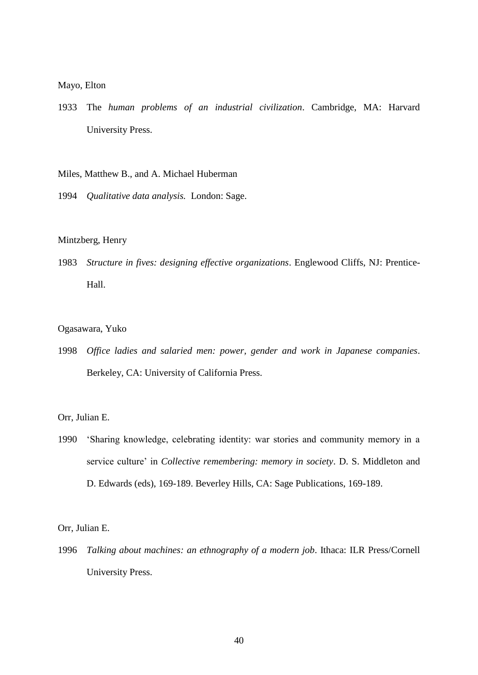Mayo, Elton

1933 The *human problems of an industrial civilization*. Cambridge, MA: Harvard University Press.

Miles, Matthew B., and A. Michael Huberman

1994 *Qualitative data analysis.* London: Sage.

#### Mintzberg, Henry

1983 *Structure in fives: designing effective organizations*. Englewood Cliffs, NJ: Prentice-Hall.

# Ogasawara, Yuko

1998 *Office ladies and salaried men: power, gender and work in Japanese companies*. Berkeley, CA: University of California Press.

# Orr, Julian E.

1990 'Sharing knowledge, celebrating identity: war stories and community memory in a service culture' in *Collective remembering: memory in society*. D. S. Middleton and D. Edwards (eds), 169-189. Beverley Hills, CA: Sage Publications, 169-189.

Orr, Julian E.

1996 *Talking about machines: an ethnography of a modern job*. Ithaca: ILR Press/Cornell University Press.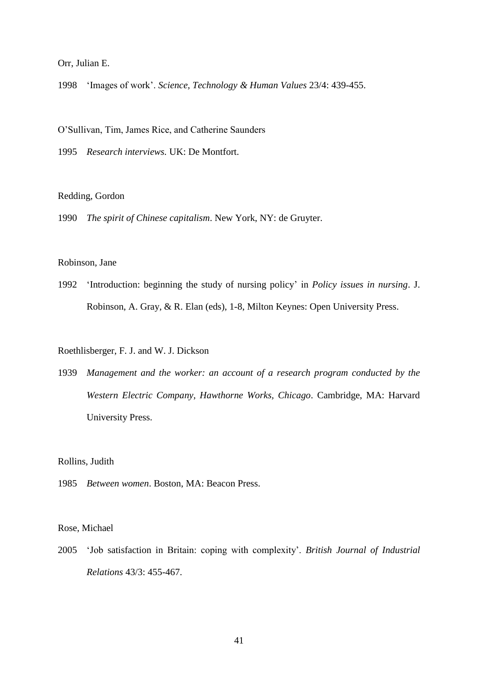#### Orr, Julian E.

1998 'Images of work'. *Science, Technology & Human Values* 23/4: 439-455.

O'Sullivan, Tim, James Rice, and Catherine Saunders

1995 *Research interviews.* UK: De Montfort.

### Redding, Gordon

1990 *The spirit of Chinese capitalism*. New York, NY: de Gruyter.

# Robinson, Jane

1992 'Introduction: beginning the study of nursing policy' in *Policy issues in nursing*. J. Robinson, A. Gray, & R. Elan (eds), 1-8, Milton Keynes: Open University Press.

#### Roethlisberger, F. J. and W. J. Dickson

1939 *Management and the worker: an account of a research program conducted by the Western Electric Company, Hawthorne Works, Chicago*. Cambridge, MA: Harvard University Press.

## Rollins, Judith

1985 *Between women*. Boston, MA: Beacon Press.

#### Rose, Michael

2005 'Job satisfaction in Britain: coping with complexity'. *British Journal of Industrial Relations* 43/3: 455-467.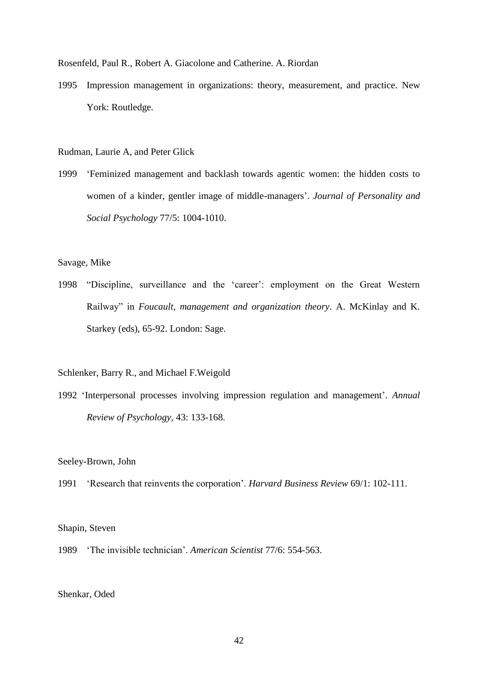Rosenfeld, Paul R., Robert A. Giacolone and Catherine. A. Riordan

1995 Impression management in organizations: theory, measurement, and practice. New York: Routledge.

Rudman, Laurie A, and Peter Glick

1999 'Feminized management and backlash towards agentic women: the hidden costs to women of a kinder, gentler image of middle-managers'. *Journal of Personality and Social Psychology* 77/5: 1004-1010.

Savage, Mike

1998 "Discipline, surveillance and the 'career': employment on the Great Western Railway" in *Foucault, management and organization theory*. A. McKinlay and K. Starkey (eds), 65-92. London: Sage.

## Schlenker, Barry R., and Michael F.Weigold

1992 'Interpersonal processes involving impression regulation and management'. *Annual Review of Psychology*, 43: 133-168.

Seeley-Brown, John

1991 'Research that reinvents the corporation'. *Harvard Business Review* 69/1: 102-111.

Shapin, Steven

1989 'The invisible technician'. *American Scientist* 77/6: 554-563.

Shenkar, Oded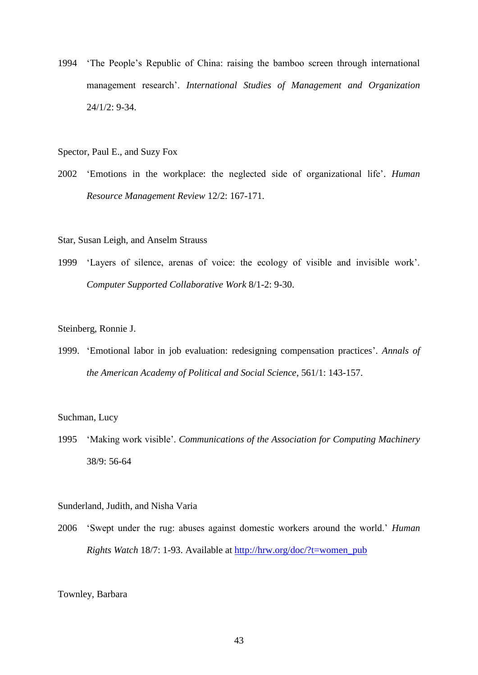1994 'The People's Republic of China: raising the bamboo screen through international management research'. *International Studies of Management and Organization* 24/1/2: 9-34.

Spector, Paul E., and Suzy Fox

2002 'Emotions in the workplace: the neglected side of organizational life'. *Human Resource Management Review* 12/2: 167-171.

Star, Susan Leigh, and Anselm Strauss

1999 'Layers of silence, arenas of voice: the ecology of visible and invisible work'. *Computer Supported Collaborative Work* 8/1-2: 9-30.

Steinberg, Ronnie J.

1999. 'Emotional labor in job evaluation: redesigning compensation practices'. *Annals of the American Academy of Political and Social Science*, 561/1: 143-157.

# Suchman, Lucy

1995 'Making work visible'. *Communications of the Association for Computing Machinery* 38/9: 56-64

Sunderland, Judith, and Nisha Varia

2006 'Swept under the rug: abuses against domestic workers around the world.' *Human Rights Watch* 18/7: 1-93. Available at [http://hrw.org/doc/?t=women\\_pub](http://hrw.org/doc/?t=women_pub)

# Townley, Barbara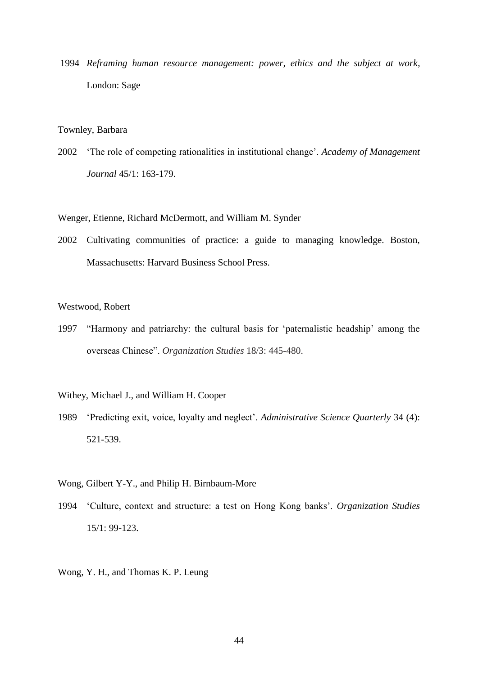1994 *Reframing human resource management: power, ethics and the subject at work*, London: Sage

## Townley, Barbara

2002 'The role of competing rationalities in institutional change'. *Academy of Management Journal* 45/1: 163-179.

## Wenger, Etienne, Richard McDermott, and William M. Synder

2002 Cultivating communities of practice: a guide to managing knowledge. Boston, Massachusetts: Harvard Business School Press.

#### Westwood, Robert

1997 "Harmony and patriarchy: the cultural basis for 'paternalistic headship' among the overseas Chinese". *Organization Studies* 18/3: 445-480.

Withey, Michael J., and William H. Cooper

- 1989 'Predicting exit, voice, loyalty and neglect'. *Administrative Science Quarterly* 34 (4): 521-539.
- Wong, Gilbert Y-Y., and Philip H. Birnbaum-More
- 1994 'Culture, context and structure: a test on Hong Kong banks'. *Organization Studies*  15/1: 99-123.
- Wong, Y. H., and Thomas K. P. Leung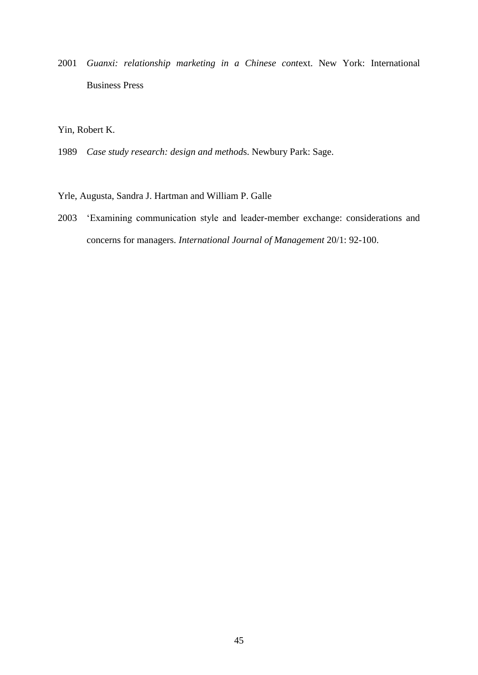2001 *Guanxi: relationship marketing in a Chinese cont*ext. New York: International Business Press

Yin, Robert K.

1989 *Case study research: design and method*s. Newbury Park: Sage.

Yrle, Augusta, Sandra J. Hartman and William P. Galle

2003 'Examining communication style and leader-member exchange: considerations and concerns for managers. *International Journal of Management* 20/1: 92-100.